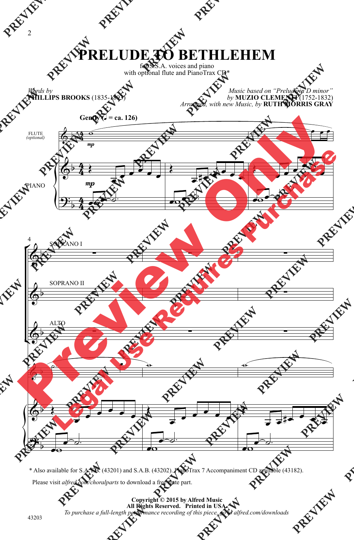## **PRELUDE TO BETHLEHEM**

for S.S.A. voices and piano with optional flute and PianoTrax CD<sup>\*</sup>



<sup>\*</sup> Also available for S.A.T.B. (43201) and S.A.B. (43202). PianoTrax 7 Accompaniment CD available (43182).

Please visit *alfred.com/choralparts* to download a free flute part.

43203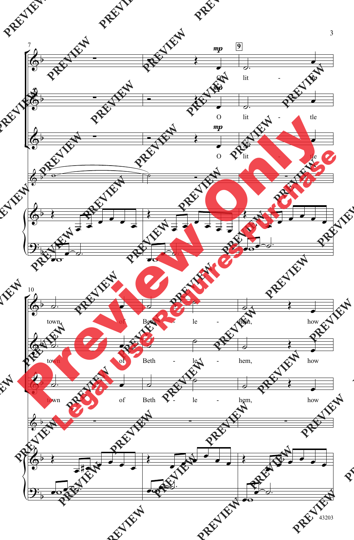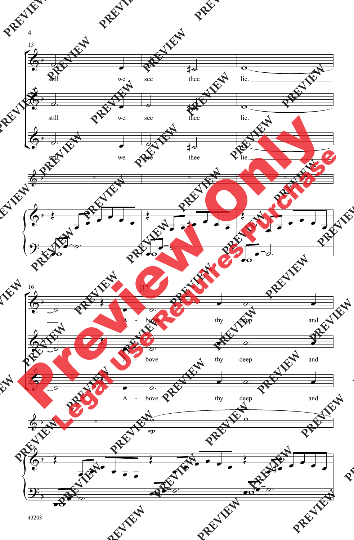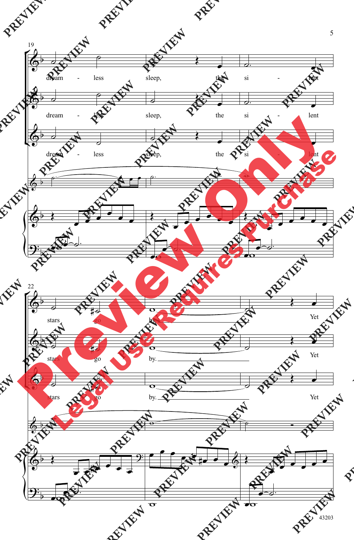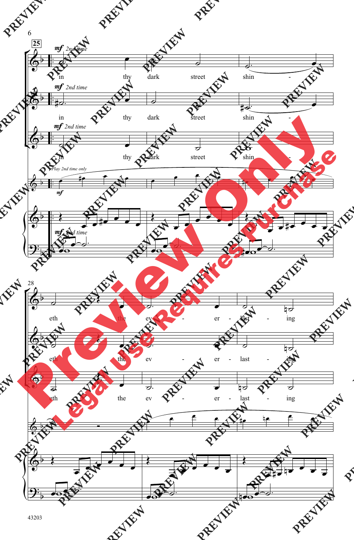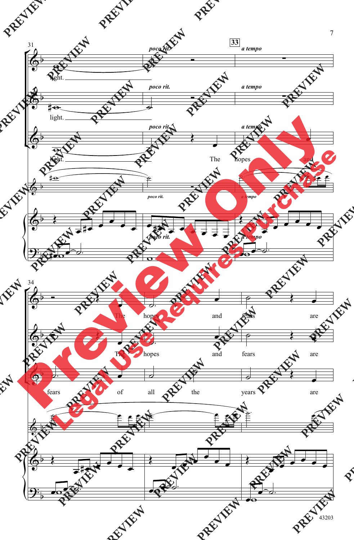

43203

7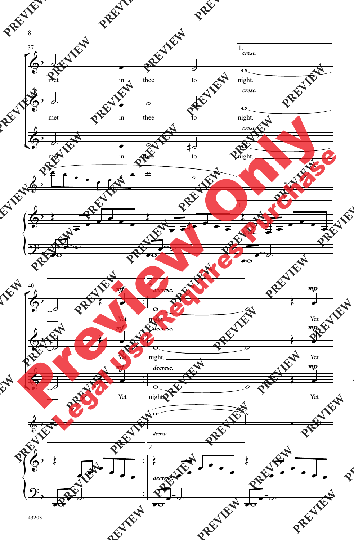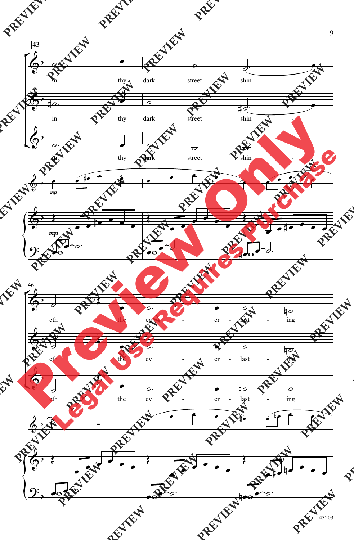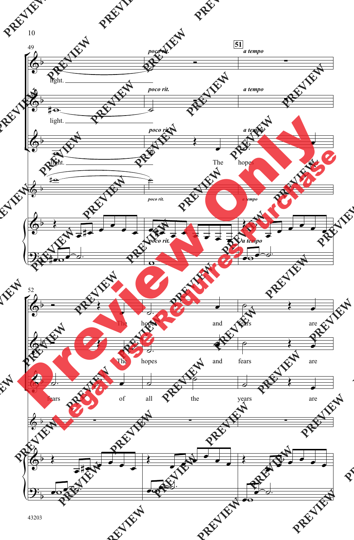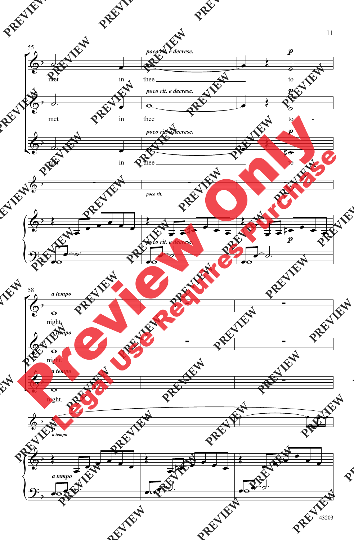